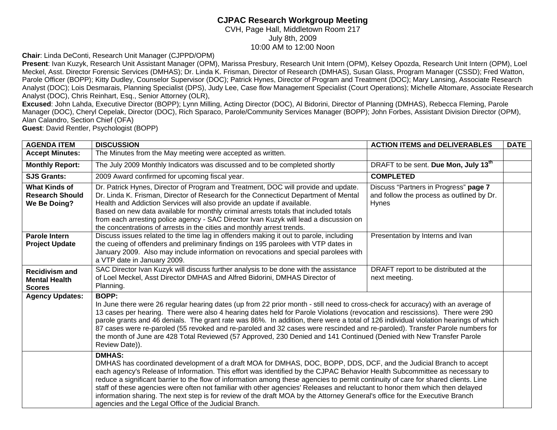## **CJPAC Research Workgroup Meeting**

CVH, Page Hall, Middletown Room 217 July 8th, 2009 10:00 AM to 12:00 Noon

**Chair**: Linda DeConti, Research Unit Manager (CJPPD/OPM)

**Present**: Ivan Kuzyk, Research Unit Assistant Manager (OPM), Marissa Presbury, Research Unit Intern (OPM), Kelsey Opozda, Research Unit Intern (OPM), Loel Meckel, Asst. Director Forensic Services (DMHAS); Dr. Linda K. Frisman, Director of Research (DMHAS), Susan Glass, Program Manager (CSSD); Fred Watton, Parole Officer (BOPP); Kitty Dudley, Counselor Supervisor (DOC); Patrick Hynes, Director of Program and Treatment (DOC); Mary Lansing, Associate Research Analyst (DOC); Lois Desmarais, Planning Specialist (DPS), Judy Lee, Case flow Management Specialist (Court Operations); Michelle Altomare, Associate Research Analyst (DOC), Chris Reinhart, Esq., Senior Attorney (OLR),

**Excused**: John Lahda, Executive Director (BOPP); Lynn Milling, Acting Director (DOC), Al Bidorini, Director of Planning (DMHAS), Rebecca Fleming, Parole Manager (DOC), Cheryl Cepelak, Director (DOC), Rich Sparaco, Parole/Community Services Manager (BOPP); John Forbes, Assistant Division Director (OPM), Alan Calandro, Section Chief (OFA)

**Guest**: David Rentler, Psychologist (BOPP)

| <b>AGENDA ITEM</b>                                             | <b>DISCUSSION</b>                                                                                                                                                                                                                                                                                                                                                                                                                                                                                                                                                                                                                                                                                                               | <b>ACTION ITEMS and DELIVERABLES</b>                                                        | <b>DATE</b> |
|----------------------------------------------------------------|---------------------------------------------------------------------------------------------------------------------------------------------------------------------------------------------------------------------------------------------------------------------------------------------------------------------------------------------------------------------------------------------------------------------------------------------------------------------------------------------------------------------------------------------------------------------------------------------------------------------------------------------------------------------------------------------------------------------------------|---------------------------------------------------------------------------------------------|-------------|
| <b>Accept Minutes:</b>                                         | The Minutes from the May meeting were accepted as written.                                                                                                                                                                                                                                                                                                                                                                                                                                                                                                                                                                                                                                                                      |                                                                                             |             |
| <b>Monthly Report:</b>                                         | The July 2009 Monthly Indicators was discussed and to be completed shortly                                                                                                                                                                                                                                                                                                                                                                                                                                                                                                                                                                                                                                                      | DRAFT to be sent. Due Mon, July 13 <sup>th</sup>                                            |             |
| <b>SJS Grants:</b>                                             | 2009 Award confirmed for upcoming fiscal year.                                                                                                                                                                                                                                                                                                                                                                                                                                                                                                                                                                                                                                                                                  | <b>COMPLETED</b>                                                                            |             |
| <b>What Kinds of</b><br><b>Research Should</b><br>We Be Doing? | Dr. Patrick Hynes, Director of Program and Treatment, DOC will provide and update.<br>Dr. Linda K. Frisman, Director of Research for the Connecticut Department of Mental<br>Health and Addiction Services will also provide an update if available.<br>Based on new data available for monthly criminal arrests totals that included totals<br>from each arresting police agency - SAC Director Ivan Kuzyk will lead a discussion on<br>the concentrations of arrests in the cities and monthly arrest trends.                                                                                                                                                                                                                 | Discuss "Partners in Progress" page 7<br>and follow the process as outlined by Dr.<br>Hynes |             |
| <b>Parole Intern</b><br><b>Project Update</b>                  | Discuss issues related to the time lag in offenders making it out to parole, including<br>the cueing of offenders and preliminary findings on 195 parolees with VTP dates in<br>January 2009. Also may include information on revocations and special parolees with<br>a VTP date in January 2009.                                                                                                                                                                                                                                                                                                                                                                                                                              | Presentation by Interns and Ivan                                                            |             |
| <b>Recidivism and</b><br><b>Mental Health</b><br><b>Scores</b> | SAC Director Ivan Kuzyk will discuss further analysis to be done with the assistance<br>of Loel Meckel, Asst Director DMHAS and Alfred Bidorini, DMHAS Director of<br>Planning.                                                                                                                                                                                                                                                                                                                                                                                                                                                                                                                                                 | DRAFT report to be distributed at the<br>next meeting.                                      |             |
| <b>Agency Updates:</b>                                         | <b>BOPP:</b><br>In June there were 26 regular hearing dates (up from 22 prior month - still need to cross-check for accuracy) with an average of<br>13 cases per hearing. There were also 4 hearing dates held for Parole Violations (revocation and rescissions). There were 290<br>parole grants and 46 denials. The grant rate was 86%. In addition, there were a total of 126 individual violation hearings of which<br>87 cases were re-paroled (55 revoked and re-paroled and 32 cases were rescinded and re-paroled). Transfer Parole numbers for<br>the month of June are 428 Total Reviewed (57 Approved, 230 Denied and 141 Continued (Denied with New Transfer Parole<br>Review Date)).                              |                                                                                             |             |
|                                                                | <b>DMHAS:</b><br>DMHAS has coordinated development of a draft MOA for DMHAS, DOC, BOPP, DDS, DCF, and the Judicial Branch to accept<br>each agency's Release of Information. This effort was identified by the CJPAC Behavior Health Subcommittee as necessary to<br>reduce a significant barrier to the flow of information among these agencies to permit continuity of care for shared clients. Line<br>staff of these agencies were often not familiar with other agencies' Releases and reluctant to honor them which then delayed<br>information sharing. The next step is for review of the draft MOA by the Attorney General's office for the Executive Branch<br>agencies and the Legal Office of the Judicial Branch. |                                                                                             |             |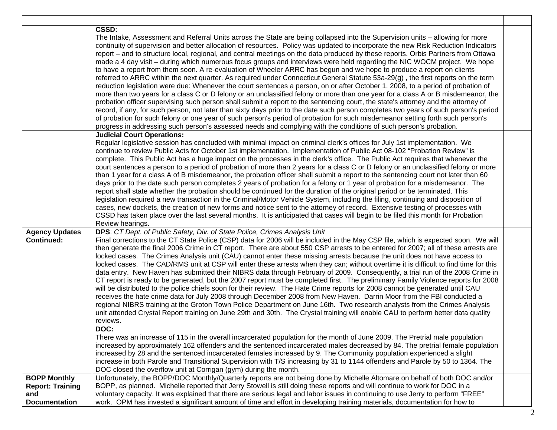|                                                                               | <b>CSSD:</b><br>The Intake, Assessment and Referral Units across the State are being collapsed into the Supervision units - allowing for more<br>continuity of supervision and better allocation of resources. Policy was updated to incorporate the new Risk Reduction Indicators<br>report – and to structure local, regional, and central meetings on the data produced by these reports. Orbis Partners from Ottawa<br>made a 4 day visit – during which numerous focus groups and interviews were held regarding the NIC WOCM project. We hope<br>to have a report from them soon. A re-evaluation of Wheeler ARRC has begun and we hope to produce a report on clients<br>referred to ARRC within the next quarter. As required under Connecticut General Statute 53a-29(g), the first reports on the term<br>reduction legislation were due: Whenever the court sentences a person, on or after October 1, 2008, to a period of probation of<br>more than two years for a class C or D felony or an unclassified felony or more than one year for a class A or B misdemeanor, the<br>probation officer supervising such person shall submit a report to the sentencing court, the state's attorney and the attorney of<br>record, if any, for such person, not later than sixty days prior to the date such person completes two years of such person's period<br>of probation for such felony or one year of such person's period of probation for such misdemeanor setting forth such person's<br>progress in addressing such person's assessed needs and complying with the conditions of such person's probation. |  |
|-------------------------------------------------------------------------------|------------------------------------------------------------------------------------------------------------------------------------------------------------------------------------------------------------------------------------------------------------------------------------------------------------------------------------------------------------------------------------------------------------------------------------------------------------------------------------------------------------------------------------------------------------------------------------------------------------------------------------------------------------------------------------------------------------------------------------------------------------------------------------------------------------------------------------------------------------------------------------------------------------------------------------------------------------------------------------------------------------------------------------------------------------------------------------------------------------------------------------------------------------------------------------------------------------------------------------------------------------------------------------------------------------------------------------------------------------------------------------------------------------------------------------------------------------------------------------------------------------------------------------------------------------------------------------------------------------------------------|--|
|                                                                               | <b>Judicial Court Operations:</b><br>Regular legislative session has concluded with minimal impact on criminal clerk's offices for July 1st implementation. We<br>continue to review Public Acts for October 1st implementation. Implementation of Public Act 08-102 "Probation Review" is<br>complete. This Public Act has a huge impact on the processes in the clerk's office. The Public Act requires that whenever the<br>court sentences a person to a period of probation of more than 2 years for a class C or D felony or an unclassified felony or more<br>than 1 year for a class A of B misdemeanor, the probation officer shall submit a report to the sentencing court not later than 60<br>days prior to the date such person completes 2 years of probation for a felony or 1 year of probation for a misdemeanor. The<br>report shall state whether the probation should be continued for the duration of the original period or be terminated. This<br>legislation required a new transaction in the Criminal/Motor Vehicle System, including the filing, continuing and disposition of<br>cases, new dockets, the creation of new forms and notice sent to the attorney of record. Extensive testing of processes with<br>CSSD has taken place over the last several months. It is anticipated that cases will begin to be filed this month for Probation<br>Review hearings.                                                                                                                                                                                                                             |  |
| <b>Agency Updates</b><br><b>Continued:</b>                                    | DPS: CT Dept. of Public Safety, Div. of State Police, Crimes Analysis Unit<br>Final corrections to the CT State Police (CSP) data for 2006 will be included in the May CSP file, which is expected soon. We will<br>then generate the final 2006 Crime in CT report. There are about 550 CSP arrests to be entered for 2007; all of these arrests are<br>locked cases. The Crimes Analysis unit (CAU) cannot enter these missing arrests because the unit does not have access to<br>locked cases. The CAD/RMS unit at CSP will enter these arrests when they can; without overtime it is difficult to find time for this<br>data entry. New Haven has submitted their NIBRS data through February of 2009. Consequently, a trial run of the 2008 Crime in<br>CT report is ready to be generated, but the 2007 report must be completed first. The preliminary Family Violence reports for 2008<br>will be distributed to the police chiefs soon for their review. The Hate Crime reports for 2008 cannot be generated until CAU<br>receives the hate crime data for July 2008 through December 2008 from New Haven. Darrin Moor from the FBI conducted a<br>regional NIBRS training at the Groton Town Police Department on June 16th. Two research analysts from the Crimes Analysis<br>unit attended Crystal Report training on June 29th and 30th. The Crystal training will enable CAU to perform better data quality<br>reviews.                                                                                                                                                                                       |  |
|                                                                               | DOC:<br>There was an increase of 115 in the overall incarcerated population for the month of June 2009. The Pretrial male population<br>increased by approximately 162 offenders and the sentenced incarcerated males decreased by 84. The pretrial female population<br>increased by 28 and the sentenced incarcerated females increased by 9. The Community population experienced a slight<br>increase in both Parole and Transitional Supervision with T/S increasing by 31 to 1144 offenders and Parole by 50 to 1364. The<br>DOC closed the overflow unit at Corrigan (gym) during the month.                                                                                                                                                                                                                                                                                                                                                                                                                                                                                                                                                                                                                                                                                                                                                                                                                                                                                                                                                                                                                          |  |
| <b>BOPP Monthly</b><br><b>Report: Training</b><br>and<br><b>Documentation</b> | Unfortunately, the BOPP/DOC Monthly/Quarterly reports are not being done by Michelle Altomare on behalf of both DOC and/or<br>BOPP, as planned. Michelle reported that Jerry Stowell is still doing these reports and will continue to work for DOC in a<br>voluntary capacity. It was explained that there are serious legal and labor issues in continuing to use Jerry to perform "FREE"<br>work. OPM has invested a significant amount of time and effort in developing training materials, documentation for how to                                                                                                                                                                                                                                                                                                                                                                                                                                                                                                                                                                                                                                                                                                                                                                                                                                                                                                                                                                                                                                                                                                     |  |